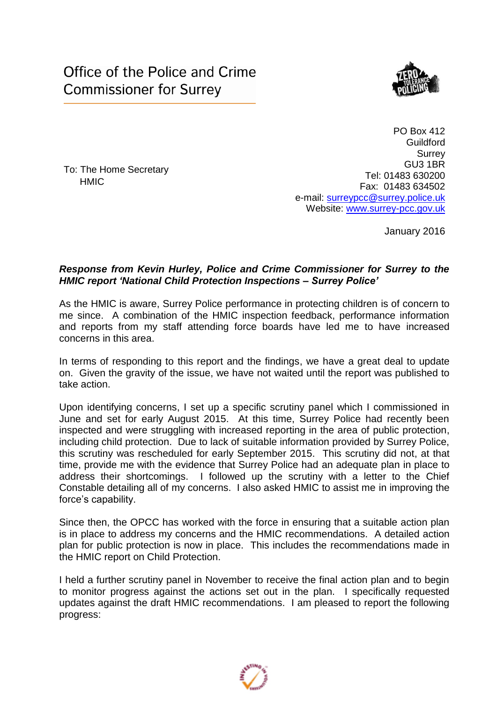

To: The Home Secretary **HMIC** 

PO Box 412 **Guildford Surrey** GU3 1BR Tel: 01483 630200 Fax: 01483 634502 e-mail: [surreypcc@surrey.police.uk](mailto:surreypcc@surrey.police.uk) Website: [www.surrey-pcc.gov.uk](http://www.surrey-pcc.gov.uk/) 

January 2016

## *Response from Kevin Hurley, Police and Crime Commissioner for Surrey to the HMIC report 'National Child Protection Inspections – Surrey Police'*

As the HMIC is aware, Surrey Police performance in protecting children is of concern to me since. A combination of the HMIC inspection feedback, performance information and reports from my staff attending force boards have led me to have increased concerns in this area.

In terms of responding to this report and the findings, we have a great deal to update on. Given the gravity of the issue, we have not waited until the report was published to take action.

Upon identifying concerns, I set up a specific scrutiny panel which I commissioned in June and set for early August 2015. At this time, Surrey Police had recently been inspected and were struggling with increased reporting in the area of public protection, including child protection. Due to lack of suitable information provided by Surrey Police, this scrutiny was rescheduled for early September 2015. This scrutiny did not, at that time, provide me with the evidence that Surrey Police had an adequate plan in place to address their shortcomings. I followed up the scrutiny with a letter to the Chief Constable detailing all of my concerns. I also asked HMIC to assist me in improving the force's capability.

Since then, the OPCC has worked with the force in ensuring that a suitable action plan is in place to address my concerns and the HMIC recommendations. A detailed action plan for public protection is now in place. This includes the recommendations made in the HMIC report on Child Protection.

I held a further scrutiny panel in November to receive the final action plan and to begin to monitor progress against the actions set out in the plan. I specifically requested updates against the draft HMIC recommendations. I am pleased to report the following progress:

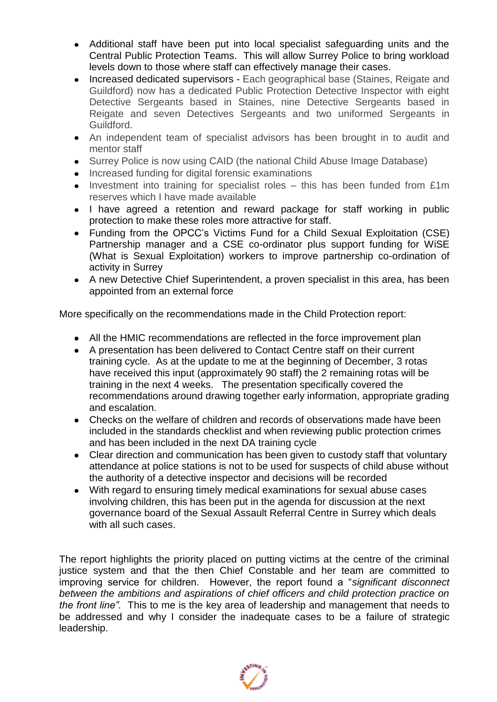- Additional staff have been put into local specialist safeguarding units and the Central Public Protection Teams. This will allow Surrey Police to bring workload levels down to those where staff can effectively manage their cases.
- Increased dedicated supervisors Each geographical base (Staines, Reigate and Guildford) now has a dedicated Public Protection Detective Inspector with eight Detective Sergeants based in Staines, nine Detective Sergeants based in Reigate and seven Detectives Sergeants and two uniformed Sergeants in Guildford.
- An independent team of specialist advisors has been brought in to audit and mentor staff
- Surrey Police is now using CAID (the national Child Abuse Image Database)
- Increased funding for digital forensic examinations
- Investment into training for specialist roles this has been funded from £1m reserves which I have made available
- I have agreed a retention and reward package for staff working in public protection to make these roles more attractive for staff.
- Funding from the OPCC's Victims Fund for a Child Sexual Exploitation (CSE) Partnership manager and a CSE co-ordinator plus support funding for WiSE (What is Sexual Exploitation) workers to improve partnership co-ordination of activity in Surrey
- A new Detective Chief Superintendent, a proven specialist in this area, has been appointed from an external force

More specifically on the recommendations made in the Child Protection report:

- All the HMIC recommendations are reflected in the force improvement plan
- A presentation has been delivered to Contact Centre staff on their current training cycle. As at the update to me at the beginning of December, 3 rotas have received this input (approximately 90 staff) the 2 remaining rotas will be training in the next 4 weeks. The presentation specifically covered the recommendations around drawing together early information, appropriate grading and escalation.
- Checks on the welfare of children and records of observations made have been included in the standards checklist and when reviewing public protection crimes and has been included in the next DA training cycle
- Clear direction and communication has been given to custody staff that voluntary attendance at police stations is not to be used for suspects of child abuse without the authority of a detective inspector and decisions will be recorded
- With regard to ensuring timely medical examinations for sexual abuse cases involving children, this has been put in the agenda for discussion at the next governance board of the Sexual Assault Referral Centre in Surrey which deals with all such cases.

The report highlights the priority placed on putting victims at the centre of the criminal justice system and that the then Chief Constable and her team are committed to improving service for children. However, the report found a "*significant disconnect between the ambitions and aspirations of chief officers and child protection practice on the front line".* This to me is the key area of leadership and management that needs to be addressed and why I consider the inadequate cases to be a failure of strategic leadership.